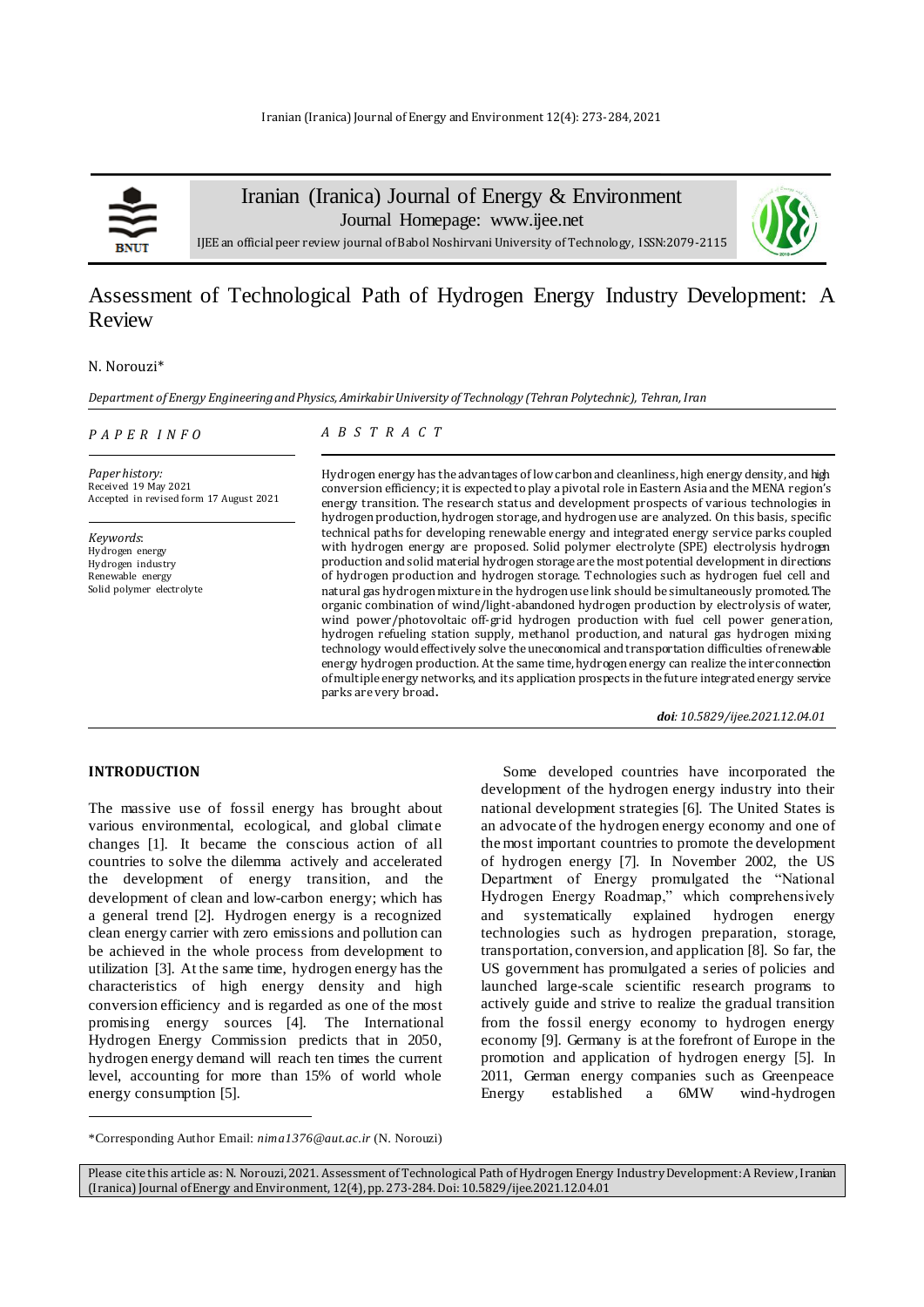

Iranian (Iranica) Journal of Energy & Environment

Journal Homepage: [www.ijee.net](http://www.ijee.net/)



IJEE an official peer review journal of Babol Noshirvani University of Technology, ISSN:2079-2115

## Assessment of Technological Path of Hydrogen Energy Industry Development: A Review

#### N. Norouzi\*

*Department of Energy Engineering and Physics, Amirkabir University of Technology (Tehran Polytechnic), Tehran, Iran*

#### *P A P E R I N F O*

*A B S T R A C T*

*Paper history:* Received 19 May 2021 Accepted in revised form 17 August 2021

*Keywords*: Hydrogen energy Hydrogen industry Renewable energy Solid polymer electrolyte

Hydrogen energy has the advantages of low carbon and cleanliness, high energy density, and high conversion efficiency; it is expected to play a pivotal role in Eastern Asia and the MENA region's energy transition. The research status and development prospects of various technologies in hydrogen production, hydrogen storage, and hydrogen use are analyzed. On this basis, specific technical paths for developing renewable energy and integrated energy service parks coupled with hydrogen energy are proposed. Solid polymer electrolyte (SPE) electrolysis hydrogen production and solid material hydrogen storage are the most potential development in directions of hydrogen production and hydrogen storage. Technologies such as hydrogen fuel cell and natural gas hydrogen mixture in the hydrogen use link should be simultaneously promoted. The organic combination of wind/light-abandoned hydrogen production by electrolysis of water, wind power/photovoltaic off-grid hydrogen production with fuel cell power generation, hydrogen refueling station supply, methanol production, and natural gas hydrogen mixing technology would effectively solve the uneconomical and transportation difficulties of renewable energy hydrogen production. At the same time, hydrogen energy can realize the interconnection of multiple energy networks, and its application prospects in the future integrated energy service parks are very broad**.**

*doi: 10.5829/ijee.2021.12.04.01*

## **INTRODUCTION**

l

The massive use of fossil energy has brought about various environmental, ecological, and global climate changes [1]. It became the conscious action of all countries to solve the dilemma actively and accelerated the development of energy transition, and the development of clean and low-carbon energy; which has a general trend [2]. Hydrogen energy is a recognized clean energy carrier with zero emissions and pollution can be achieved in the whole process from development to utilization [3]. At the same time, hydrogen energy has the characteristics of high energy density and high conversion efficiency and is regarded as one of the most promising energy sources [4]. The International Hydrogen Energy Commission predicts that in 2050, hydrogen energy demand will reach ten times the current level, accounting for more than 15% of world whole energy consumption [5].

Some developed countries have incorporated the development of the hydrogen energy industry into their national development strategies [6]. The United States is an advocate of the hydrogen energy economy and one of the most important countries to promote the development of hydrogen energy [7]. In November 2002, the US Department of Energy promulgated the "National Hydrogen Energy Roadmap," which comprehensively and systematically explained hydrogen energy technologies such as hydrogen preparation, storage, transportation, conversion, and application [8]. So far, the US government has promulgated a series of policies and launched large-scale scientific research programs to actively guide and strive to realize the gradual transition from the fossil energy economy to hydrogen energy economy [9]. Germany is at the forefront of Europe in the promotion and application of hydrogen energy [5]. In 2011, German energy companies such as Greenpeace Energy established a 6MW wind-hydrogen

<sup>\*</sup>Corresponding Author Email: *nima1376@aut.ac.ir* (N. Norouzi)

Please cite this article as: N. Norouzi, 2021. Assessment of Technological Path of Hydrogen Energy Industry Development: A Review, Iranian (Iranica) Journal of Energy and Environment, 12(4), pp. 273-284. Doi: 10.5829/ijee.2021.12.04.01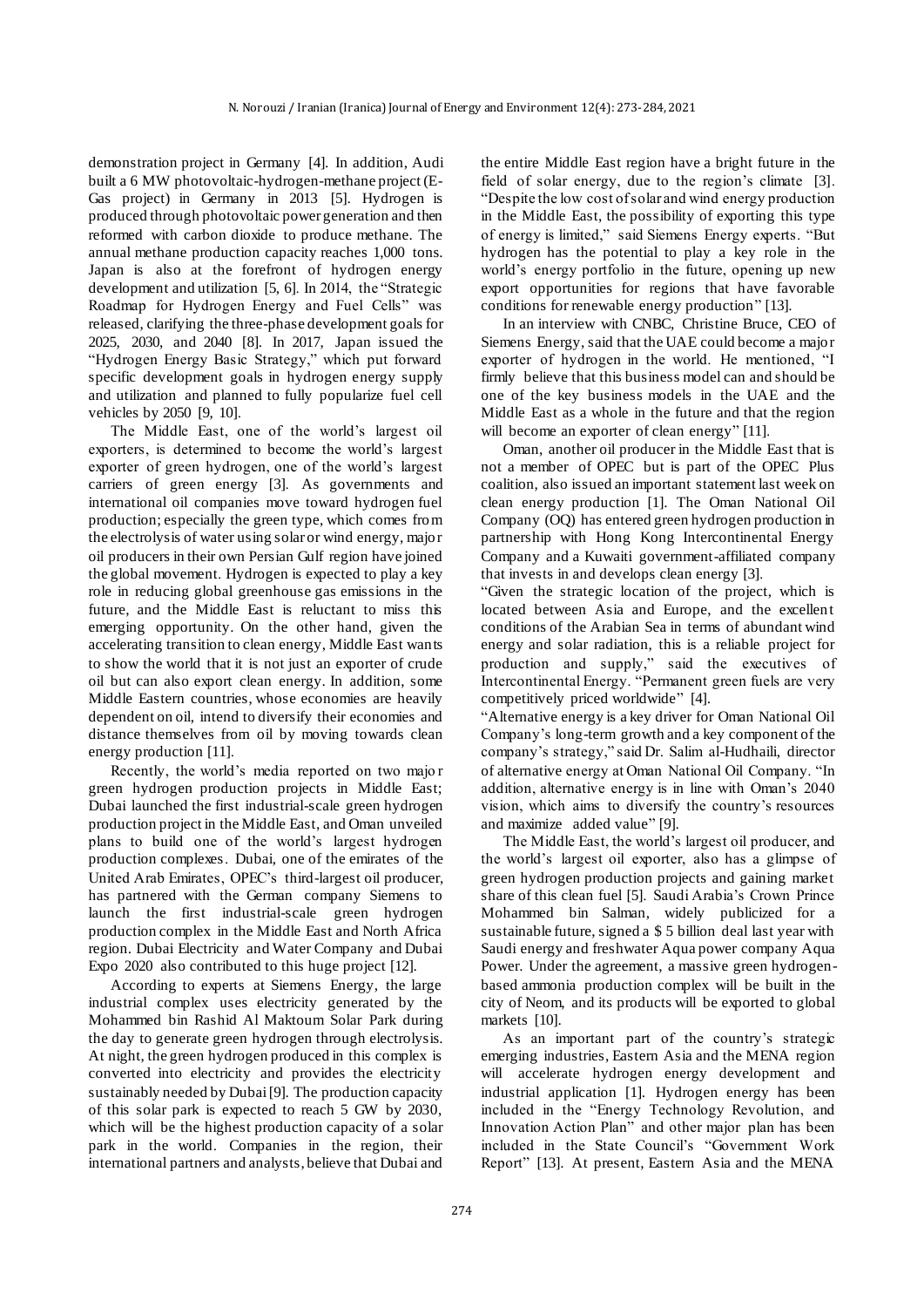demonstration project in Germany [4]. In addition, Audi built a 6 MW photovoltaic-hydrogen-methane project (E-Gas project) in Germany in 2013 [5]. Hydrogen is produced through photovoltaic power generation and then reformed with carbon dioxide to produce methane. The annual methane production capacity reaches 1,000 tons. Japan is also at the forefront of hydrogen energy development and utilization [5, 6]. In 2014, the "Strategic Roadmap for Hydrogen Energy and Fuel Cells" was released, clarifying the three-phase development goals for 2025, 2030, and 2040 [8]. In 2017, Japan issued the "Hydrogen Energy Basic Strategy," which put forward specific development goals in hydrogen energy supply and utilization and planned to fully popularize fuel cell vehicles by 2050 [9, 10].

The Middle East, one of the world's largest oil exporters, is determined to become the world's largest exporter of green hydrogen, one of the world's largest carriers of green energy [3]. As governments and international oil companies move toward hydrogen fuel production; especially the green type, which comes from the electrolysis of water using solar or wind energy, major oil producers in their own Persian Gulf region have joined the global movement. Hydrogen is expected to play a key role in reducing global greenhouse gas emissions in the future, and the Middle East is reluctant to miss this emerging opportunity. On the other hand, given the accelerating transition to clean energy, Middle East wants to show the world that it is not just an exporter of crude oil but can also export clean energy. In addition, some Middle Eastern countries, whose economies are heavily dependent on oil, intend to diversify their economies and distance themselves from oil by moving towards clean energy production [11].

Recently, the world's media reported on two majo r green hydrogen production projects in Middle East; Dubai launched the first industrial-scale green hydrogen production project in the Middle East, and Oman unveiled plans to build one of the world's largest hydrogen production complexes. Dubai, one of the emirates of the United Arab Emirates, OPEC's third-largest oil producer, has partnered with the German company Siemens to launch the first industrial-scale green hydrogen production complex in the Middle East and North Africa region. Dubai Electricity and Water Company and Dubai Expo 2020 also contributed to this huge project [12].

According to experts at Siemens Energy, the large industrial complex uses electricity generated by the Mohammed bin Rashid Al Maktoum Solar Park during the day to generate green hydrogen through electrolysis. At night, the green hydrogen produced in this complex is converted into electricity and provides the electricity sustainably needed by Dubai [9]. The production capacity of this solar park is expected to reach 5 GW by 2030, which will be the highest production capacity of a solar park in the world. Companies in the region, their international partners and analysts, believe that Dubai and

the entire Middle East region have a bright future in the field of solar energy, due to the region's climate [3]. "Despite the low cost of solar and wind energy production in the Middle East, the possibility of exporting this type of energy is limited," said Siemens Energy experts. "But hydrogen has the potential to play a key role in the world's energy portfolio in the future, opening up new export opportunities for regions that have favorable conditions for renewable energy production" [13].

In an interview with CNBC, Christine Bruce, CEO of Siemens Energy, said that the UAE could become a major exporter of hydrogen in the world. He mentioned, "I firmly believe that this business model can and should be one of the key business models in the UAE and the Middle East as a whole in the future and that the region will become an exporter of clean energy" [11].

Oman, another oil producer in the Middle East that is not a member of OPEC but is part of the OPEC Plus coalition, also issued an important statement last week on clean energy production [1]. The Oman National Oil Company (OQ) has entered green hydrogen production in partnership with Hong Kong Intercontinental Energy Company and a Kuwaiti government-affiliated company that invests in and develops clean energy [3].

"Given the strategic location of the project, which is located between Asia and Europe, and the excellent conditions of the Arabian Sea in terms of abundant wind energy and solar radiation, this is a reliable project for production and supply," said the executives of Intercontinental Energy. "Permanent green fuels are very competitively priced worldwide" [4].

"Alternative energy is a key driver for Oman National Oil Company's long-term growth and a key component of the company's strategy," said Dr. Salim al-Hudhaili, director of alternative energy at Oman National Oil Company. "In addition, alternative energy is in line with Oman's 2040 vision, which aims to diversify the country's resources and maximize added value" [9].

The Middle East, the world's largest oil producer, and the world's largest oil exporter, also has a glimpse of green hydrogen production projects and gaining market share of this clean fuel [5]. Saudi Arabia's Crown Prince Mohammed bin Salman, widely publicized for a sustainable future, signed a \$ 5 billion deal last year with Saudi energy and freshwater Aqua power company Aqua Power. Under the agreement, a massive green hydrogenbased ammonia production complex will be built in the city of Neom, and its products will be exported to global markets [10].

As an important part of the country's strategic emerging industries, Eastern Asia and the MENA region will accelerate hydrogen energy development and industrial application [1]. Hydrogen energy has been included in the "Energy Technology Revolution, and Innovation Action Plan" and other major plan has been included in the State Council's "Government Work Report" [13]. At present, Eastern Asia and the MENA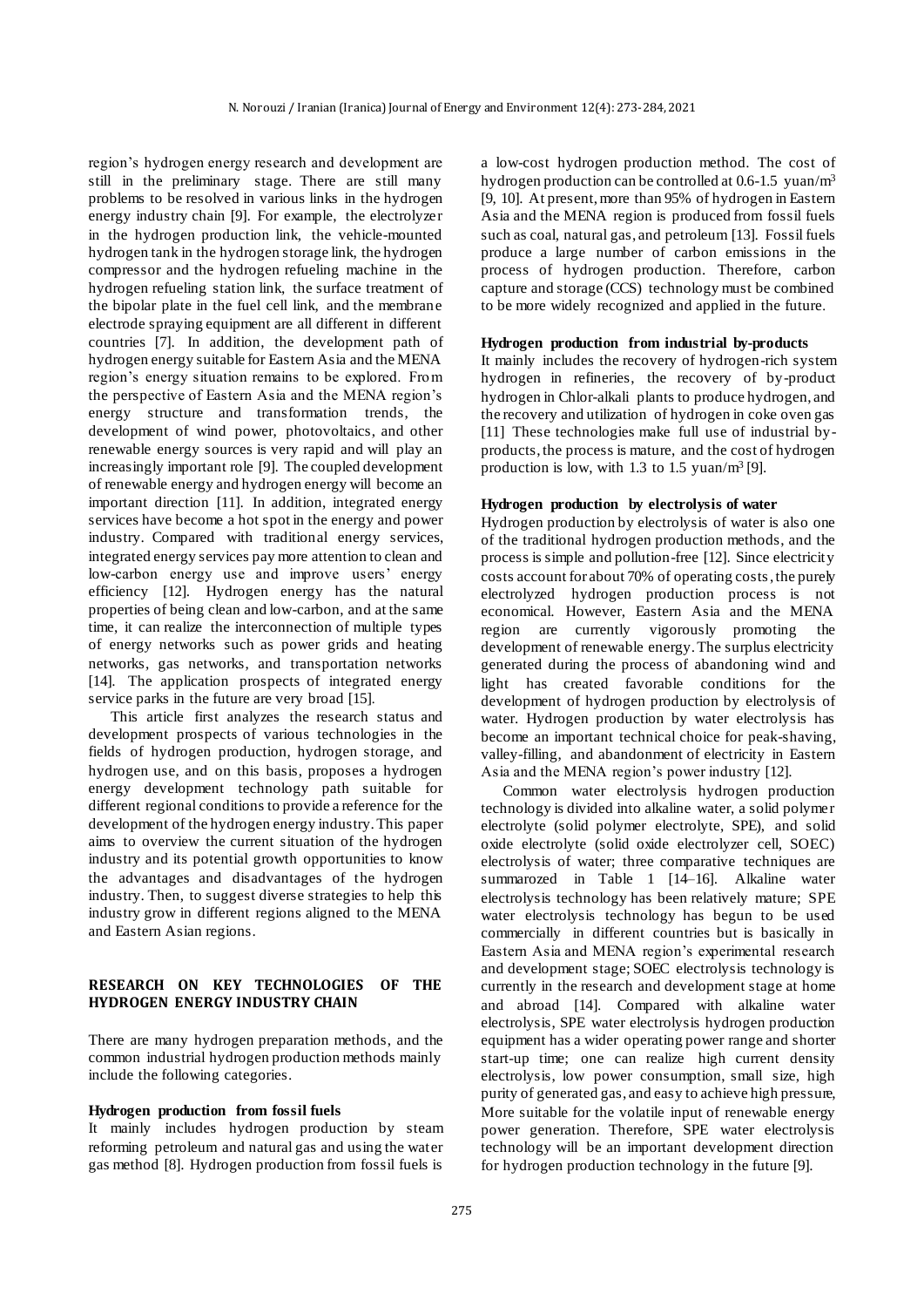region's hydrogen energy research and development are still in the preliminary stage. There are still many problems to be resolved in various links in the hydrogen energy industry chain [9]. For example, the electrolyzer in the hydrogen production link, the vehicle-mounted hydrogen tank in the hydrogen storage link, the hydrogen compressor and the hydrogen refueling machine in the hydrogen refueling station link, the surface treatment of the bipolar plate in the fuel cell link, and the membrane electrode spraying equipment are all different in different countries [7]. In addition, the development path of hydrogen energy suitable for Eastern Asia and the MENA region's energy situation remains to be explored. From the perspective of Eastern Asia and the MENA region's energy structure and transformation trends, the development of wind power, photovoltaics, and other renewable energy sources is very rapid and will play an increasingly important role [9]. The coupled development of renewable energy and hydrogen energy will become an important direction [11]. In addition, integrated energy services have become a hot spot in the energy and power industry. Compared with traditional energy services, integrated energy services pay more attention to clean and low-carbon energy use and improve users' energy efficiency [12]. Hydrogen energy has the natural properties of being clean and low-carbon, and at the same time, it can realize the interconnection of multiple types of energy networks such as power grids and heating networks, gas networks, and transportation networks [14]. The application prospects of integrated energy service parks in the future are very broad [15].

This article first analyzes the research status and development prospects of various technologies in the fields of hydrogen production, hydrogen storage, and hydrogen use, and on this basis, proposes a hydrogen energy development technology path suitable for different regional conditions to provide a reference for the development of the hydrogen energy industry. This paper aims to overview the current situation of the hydrogen industry and its potential growth opportunities to know the advantages and disadvantages of the hydrogen industry. Then, to suggest diverse strategies to help this industry grow in different regions aligned to the MENA and Eastern Asian regions.

## **RESEARCH ON KEY TECHNOLOGIES OF THE HYDROGEN ENERGY INDUSTRY CHAIN**

There are many hydrogen preparation methods, and the common industrial hydrogen production methods mainly include the following categories.

## **Hydrogen production from fossil fuels**

It mainly includes hydrogen production by steam reforming petroleum and natural gas and using the water gas method [8]. Hydrogen production from fossil fuels is

a low-cost hydrogen production method. The cost of hydrogen production can be controlled at 0.6-1.5 yuan/m<sup>3</sup> [9, 10]. At present, more than 95% of hydrogen in Eastern Asia and the MENA region is produced from fossil fuels such as coal, natural gas, and petroleum [13]. Fossil fuels produce a large number of carbon emissions in the process of hydrogen production. Therefore, carbon capture and storage (CCS) technology must be combined to be more widely recognized and applied in the future.

#### **Hydrogen production from industrial by-products**

It mainly includes the recovery of hydrogen-rich system hydrogen in refineries, the recovery of by-product hydrogen in Chlor-alkali plants to produce hydrogen, and the recovery and utilization of hydrogen in coke oven gas [11] These technologies make full use of industrial byproducts, the process is mature, and the cost of hydrogen production is low, with  $1.3$  to  $1.5$  yuan/m<sup>3</sup> [9].

#### **Hydrogen production by electrolysis of water**

Hydrogen production by electrolysis of water is also one of the traditional hydrogen production methods, and the process is simple and pollution-free [12]. Since electricity costs account for about 70% of operating costs, the purely electrolyzed hydrogen production process is not economical. However, Eastern Asia and the MENA region are currently vigorously promoting the development of renewable energy. The surplus electricity generated during the process of abandoning wind and light has created favorable conditions for the development of hydrogen production by electrolysis of water. Hydrogen production by water electrolysis has become an important technical choice for peak-shaving, valley-filling, and abandonment of electricity in Eastern Asia and the MENA region's power industry [12].

Common water electrolysis hydrogen production technology is divided into alkaline water, a solid polymer electrolyte (solid polymer electrolyte, SPE), and solid oxide electrolyte (solid oxide electrolyzer cell, SOEC) electrolysis of water; three comparative techniques are summarozed in Table 1 [14–16]. Alkaline water electrolysis technology has been relatively mature; SPE water electrolysis technology has begun to be used commercially in different countries but is basically in Eastern Asia and MENA region's experimental research and development stage; SOEC electrolysis technology is currently in the research and development stage at home and abroad [14]. Compared with alkaline water electrolysis, SPE water electrolysis hydrogen production equipment has a wider operating power range and shorter start-up time; one can realize high current density electrolysis, low power consumption, small size, high purity of generated gas, and easy to achieve high pressure, More suitable for the volatile input of renewable energy power generation. Therefore, SPE water electrolysis technology will be an important development direction for hydrogen production technology in the future [9].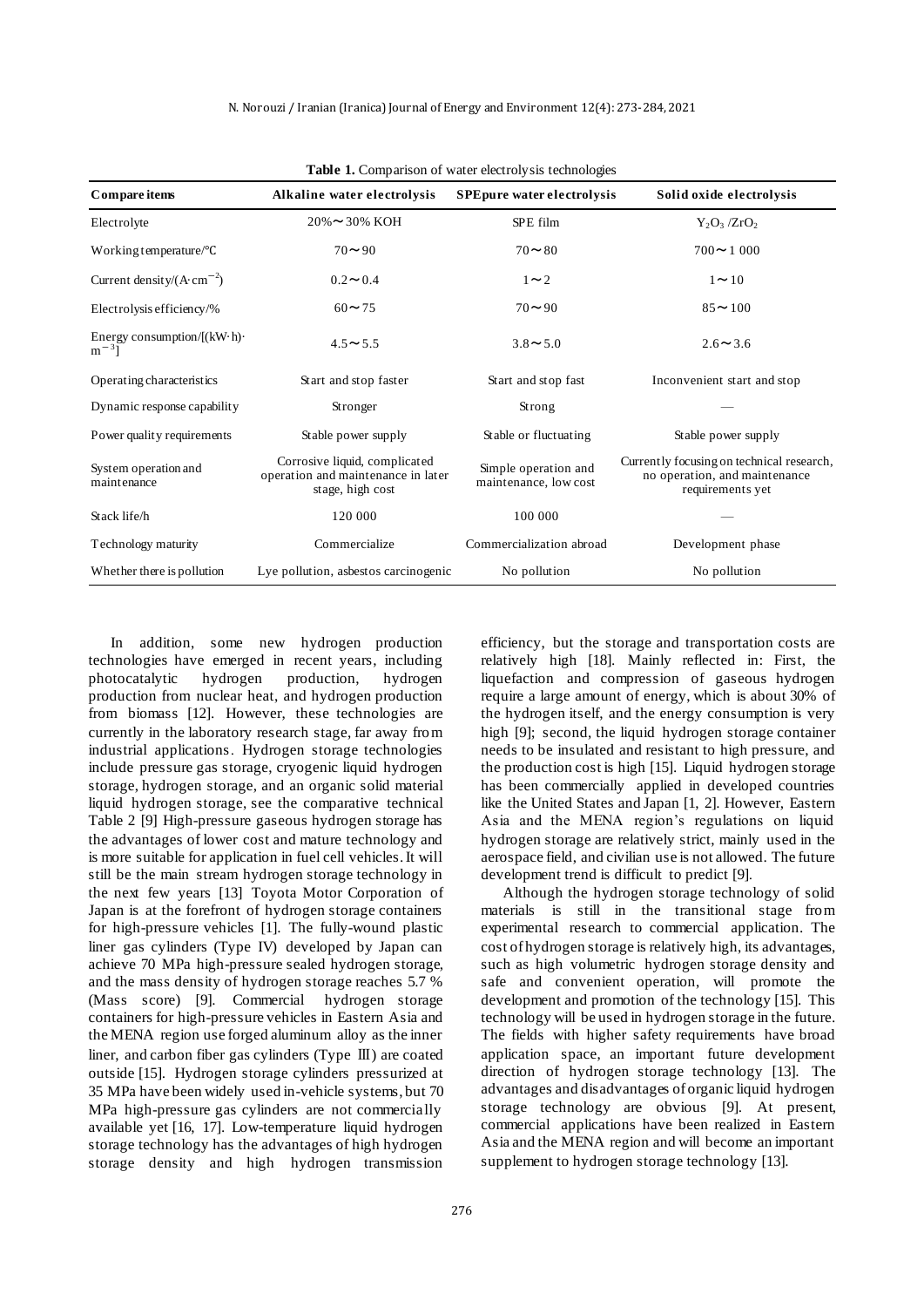| Compare items                                           | Alkaline water electrolysis                                                             | <b>SPEpure water electrolysis</b> | Solid oxide electrolysis                                                                       |  |  |  |  |
|---------------------------------------------------------|-----------------------------------------------------------------------------------------|-----------------------------------|------------------------------------------------------------------------------------------------|--|--|--|--|
| Electrolyte                                             | $20\% \approx 30\%$ KOH                                                                 | SPE film                          | $Y_2O_3/ZrO_2$                                                                                 |  |  |  |  |
| Working temperature/ ${}^{\circ}C$                      | $70 - 90$                                                                               | $70 - 80$                         | $700 \sim 1000$                                                                                |  |  |  |  |
| Current density/ $(A \cdot cm^{-2})$                    | $0.2 \sim 0.4$                                                                          | $1\sim2$                          | $1 \sim 10$                                                                                    |  |  |  |  |
| Electrolysis efficiency/%                               | $60 \sim 75$                                                                            | $70 - 90$                         | $85 \sim 100$                                                                                  |  |  |  |  |
| Energy consumption/ $[(kW \cdot h) \cdot$<br>$m^{-3}$ ] | $4.5 \sim 5.5$                                                                          | $3.8 \sim 5.0$                    | $2.6 \sim 3.6$                                                                                 |  |  |  |  |
| Operating characteristics                               | Start and stop faster                                                                   | Start and stop fast               | Inconvenient start and stop                                                                    |  |  |  |  |
| Dynamic response capability                             | Stronger                                                                                | Strong                            |                                                                                                |  |  |  |  |
| Power quality requirements                              | Stable power supply                                                                     | Stable or fluctuating             | Stable power supply                                                                            |  |  |  |  |
| System operation and<br>maintenance                     | Corrosive liquid, complicated<br>operation and maintenance in later<br>stage, high cost |                                   | Currently focusing on technical research,<br>no operation, and maintenance<br>requirements yet |  |  |  |  |
| Stack life/h                                            | 120 000                                                                                 | 100 000                           |                                                                                                |  |  |  |  |
| Technology maturity                                     | Commercialize                                                                           | Commercialization abroad          | Development phase                                                                              |  |  |  |  |
| Whether there is pollution                              | Lye pollution, asbestos carcinogenic                                                    | No pollution                      | No pollution                                                                                   |  |  |  |  |

**Table 1.** Comparison of water electrolysis technologies

In addition, some new hydrogen production technologies have emerged in recent years, including photocatalytic hydrogen production, hydrogen production from nuclear heat, and hydrogen production from biomass [12]. However, these technologies are currently in the laboratory research stage, far away from industrial applications. Hydrogen storage technologies include pressure gas storage, cryogenic liquid hydrogen storage, hydrogen storage, and an organic solid material liquid hydrogen storage, see the comparative technical Table 2 [9] High-pressure gaseous hydrogen storage has the advantages of lower cost and mature technology and is more suitable for application in fuel cell vehicles. It will still be the main stream hydrogen storage technology in the next few years [13] Toyota Motor Corporation of Japan is at the forefront of hydrogen storage containers for high-pressure vehicles [1]. The fully-wound plastic liner gas cylinders (Type IV) developed by Japan can achieve 70 MPa high-pressure sealed hydrogen storage, and the mass density of hydrogen storage reaches 5.7 % (Mass score) [9]. Commercial hydrogen storage containers for high-pressure vehicles in Eastern Asia and the MENA region use forged aluminum alloy as the inner liner, and carbon fiber gas cylinders (Type Ⅲ) are coated outside [15]. Hydrogen storage cylinders pressurized at 35 MPa have been widely used in-vehicle systems, but 70 MPa high-pressure gas cylinders are not commercially available yet [16, 17]. Low-temperature liquid hydrogen storage technology has the advantages of high hydrogen storage density and high hydrogen transmission

efficiency, but the storage and transportation costs are relatively high [18]. Mainly reflected in: First, the liquefaction and compression of gaseous hydrogen require a large amount of energy, which is about 30% of the hydrogen itself, and the energy consumption is very high [9]; second, the liquid hydrogen storage container needs to be insulated and resistant to high pressure, and the production cost is high [15]. Liquid hydrogen storage has been commercially applied in developed countries like the United States and Japan [1, 2]. However, Eastern Asia and the MENA region's regulations on liquid hydrogen storage are relatively strict, mainly used in the aerospace field, and civilian use is not allowed. The future development trend is difficult to predict [9].

Although the hydrogen storage technology of solid materials is still in the transitional stage from experimental research to commercial application. The cost of hydrogen storage is relatively high, its advantages, such as high volumetric hydrogen storage density and safe and convenient operation, will promote the development and promotion of the technology [15]. This technology will be used in hydrogen storage in the future. The fields with higher safety requirements have broad application space, an important future development direction of hydrogen storage technology [13]. The advantages and disadvantages of organic liquid hydrogen storage technology are obvious [9]. At present, commercial applications have been realized in Eastern Asia and the MENA region and will become an important supplement to hydrogen storage technology [13].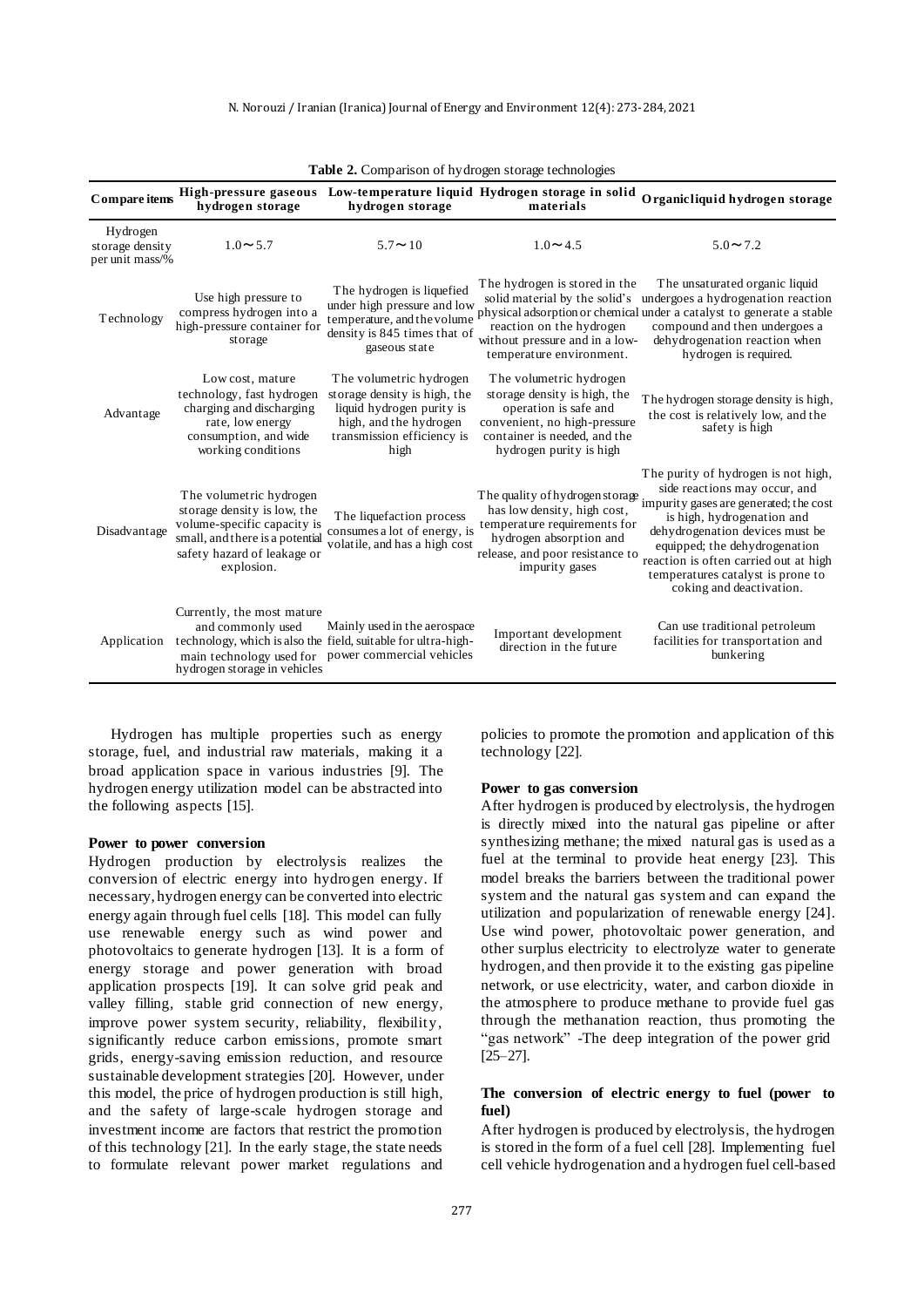| <b>rative 2.</b> Comparison of hydrogen storage technologies |                                                                                                                                                                       |                                                                                                                                                      |                                                                                                                                                                                 |                                                                                                                                                                                                                                                                                                                            |  |  |
|--------------------------------------------------------------|-----------------------------------------------------------------------------------------------------------------------------------------------------------------------|------------------------------------------------------------------------------------------------------------------------------------------------------|---------------------------------------------------------------------------------------------------------------------------------------------------------------------------------|----------------------------------------------------------------------------------------------------------------------------------------------------------------------------------------------------------------------------------------------------------------------------------------------------------------------------|--|--|
| Compare items                                                | High-pressure gaseous<br>hydrogen storage                                                                                                                             | hydrogen storage                                                                                                                                     | Low-temperature liquid Hydrogen storage in solid<br>materials                                                                                                                   | Organicliquid hydrogen storage                                                                                                                                                                                                                                                                                             |  |  |
| Hydrogen<br>storage density<br>per unit mass/%               | $1.0 \sim 5.7$                                                                                                                                                        | $5.7 \sim 10$                                                                                                                                        | $1.0 \sim 4.5$                                                                                                                                                                  | $5.0 \sim 7.2$                                                                                                                                                                                                                                                                                                             |  |  |
| Technology                                                   | Use high pressure to<br>compress hydrogen into a<br>high-pressure container for<br>storage                                                                            | The hydrogen is liquefied<br>under high pressure and low<br>temperature, and the volume<br>density is 845 times that of<br>gaseous state             | The hydrogen is stored in the<br>solid material by the solid's<br>reaction on the hydrogen<br>without pressure and in a low-<br>temperature environment.                        | The unsaturated organic liquid<br>undergoes a hydrogenation reaction<br>physical adsorption or chemical under a catalyst to generate a stable<br>compound and then undergoes a<br>dehydrogenation reaction when<br>hydrogen is required.                                                                                   |  |  |
| Advantage                                                    | Low cost, mature<br>technology, fast hydrogen<br>charging and discharging<br>rate, low energy<br>consumption, and wide<br>working conditions                          | The volumetric hydrogen<br>storage density is high, the<br>liquid hydrogen purity is<br>high, and the hydrogen<br>transmission efficiency is<br>high | The volumetric hydrogen<br>storage density is high, the<br>operation is safe and<br>convenient, no high-pressure<br>container is needed, and the<br>hydrogen purity is high     | The hydrogen storage density is high,<br>the cost is relatively low, and the<br>safety is high                                                                                                                                                                                                                             |  |  |
| Disadvantage                                                 | The volumetric hydrogen<br>storage density is low, the<br>volume-specific capacity is<br>small, and there is a potential<br>safety hazard of leakage or<br>explosion. | The liquefaction process<br>consumes a lot of energy, is<br>volatile, and has a high cost                                                            | The quality of hydrogen storage.<br>has low density, high cost,<br>temperature requirements for<br>hydrogen absorption and<br>release, and poor resistance to<br>impurity gases | The purity of hydrogen is not high,<br>side reactions may occur, and<br>impurity gases are generated; the cost<br>is high, hydrogenation and<br>dehydrogenation devices must be<br>equipped; the dehydrogenation<br>reaction is often carried out at high<br>temperatures catalyst is prone to<br>coking and deactivation. |  |  |
| Application                                                  | Currently, the most mature<br>and commonly used<br>hydrogen storage in vehicles                                                                                       | Mainly used in the aerospace<br>technology, which is also the field, suitable for ultra-high-<br>main technology used for power commercial vehicles  | Important development<br>direction in the future                                                                                                                                | Can use traditional petroleum<br>facilities for transportation and<br>bunkering                                                                                                                                                                                                                                            |  |  |

**Table 2.** Comparison of hydrogen storage technologies

Hydrogen has multiple properties such as energy storage, fuel, and industrial raw materials, making it a broad application space in various industries [9]. The hydrogen energy utilization model can be abstracted into the following aspects [15].

#### **Power to power conversion**

Hydrogen production by electrolysis realizes the conversion of electric energy into hydrogen energy. If necessary, hydrogen energy can be converted into electric energy again through fuel cells [18]. This model can fully use renewable energy such as wind power and photovoltaics to generate hydrogen [13]. It is a form of energy storage and power generation with broad application prospects [19]. It can solve grid peak and valley filling, stable grid connection of new energy, improve power system security, reliability, flexibility, significantly reduce carbon emissions, promote smart grids, energy-saving emission reduction, and resource sustainable development strategies [20]. However, under this model, the price of hydrogen production is still high, and the safety of large-scale hydrogen storage and investment income are factors that restrict the promotion of this technology [21]. In the early stage, the state needs to formulate relevant power market regulations and

policies to promote the promotion and application of this technology [22].

#### **Power to gas conversion**

After hydrogen is produced by electrolysis, the hydrogen is directly mixed into the natural gas pipeline or after synthesizing methane; the mixed natural gas is used as a fuel at the terminal to provide heat energy [23]. This model breaks the barriers between the traditional power system and the natural gas system and can expand the utilization and popularization of renewable energy [24]. Use wind power, photovoltaic power generation, and other surplus electricity to electrolyze water to generate hydrogen, and then provide it to the existing gas pipeline network, or use electricity, water, and carbon dioxide in the atmosphere to produce methane to provide fuel gas through the methanation reaction, thus promoting the "gas network" -The deep integration of the power grid [25–27].

#### **The conversion of electric energy to fuel (power to fuel)**

After hydrogen is produced by electrolysis, the hydrogen is stored in the form of a fuel cell [28]. Implementing fuel cell vehicle hydrogenation and a hydrogen fuel cell-based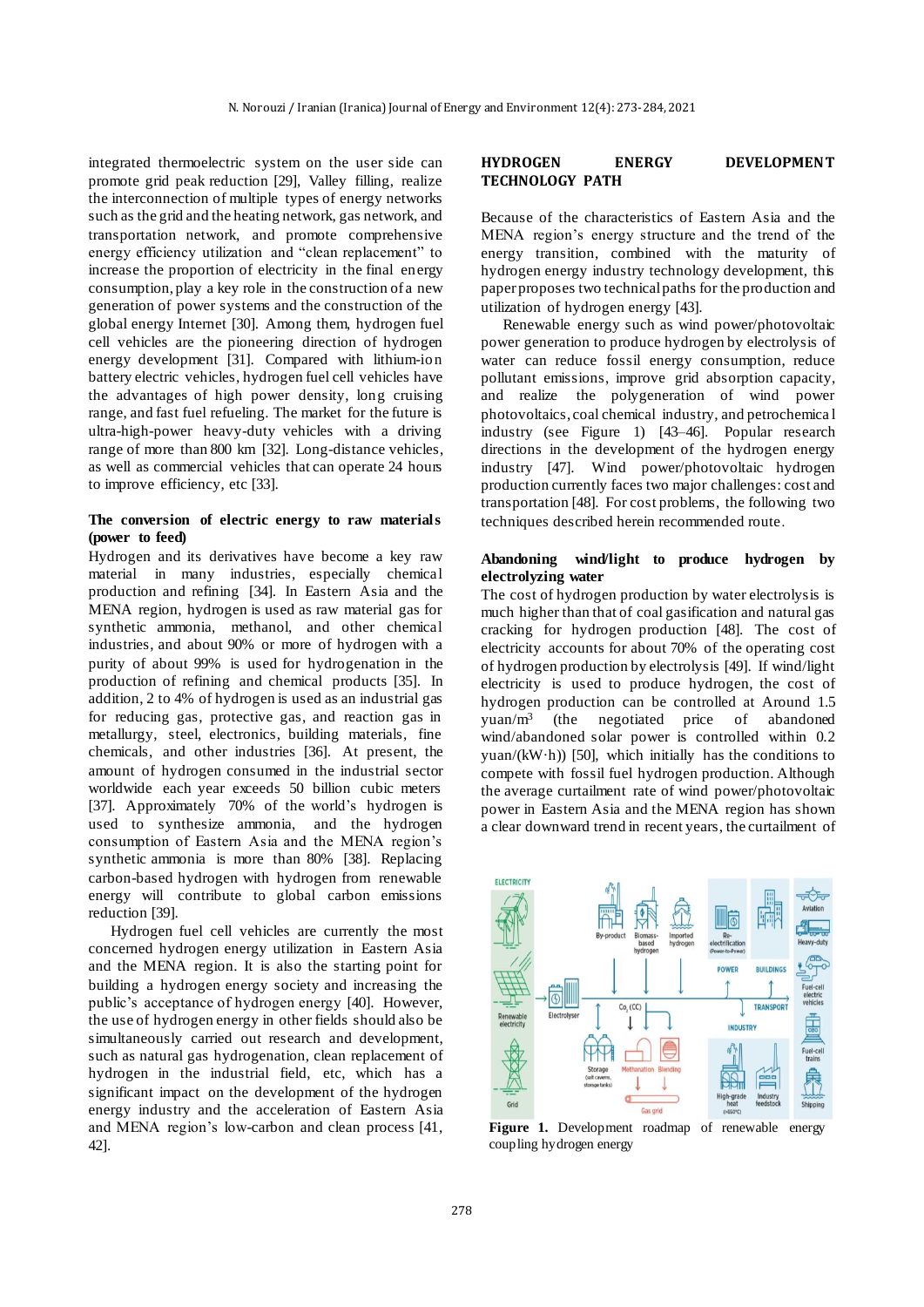integrated thermoelectric system on the user side can promote grid peak reduction [29], Valley filling, realize the interconnection of multiple types of energy networks such as the grid and the heating network, gas network, and transportation network, and promote comprehensive energy efficiency utilization and "clean replacement" to increase the proportion of electricity in the final energy consumption, play a key role in the construction of a new generation of power systems and the construction of the global energy Internet [30]. Among them, hydrogen fuel cell vehicles are the pioneering direction of hydrogen energy development [31]. Compared with lithium-ion battery electric vehicles, hydrogen fuel cell vehicles have the advantages of high power density, long cruising range, and fast fuel refueling. The market for the future is ultra-high-power heavy-duty vehicles with a driving range of more than 800 km [32]. Long-distance vehicles, as well as commercial vehicles that can operate 24 hours to improve efficiency, etc [33].

## **The conversion of electric energy to raw materials (power to feed)**

Hydrogen and its derivatives have become a key raw material in many industries, especially chemical production and refining [34]. In Eastern Asia and the MENA region, hydrogen is used as raw material gas for synthetic ammonia, methanol, and other chemical industries, and about 90% or more of hydrogen with a purity of about 99% is used for hydrogenation in the production of refining and chemical products [35]. In addition, 2 to 4% of hydrogen is used as an industrial gas for reducing gas, protective gas, and reaction gas in metallurgy, steel, electronics, building materials, fine chemicals, and other industries [36]. At present, the amount of hydrogen consumed in the industrial sector worldwide each year exceeds 50 billion cubic meters [37]. Approximately 70% of the world's hydrogen is used to synthesize ammonia, and the hydrogen consumption of Eastern Asia and the MENA region's synthetic ammonia is more than 80% [38]. Replacing carbon-based hydrogen with hydrogen from renewable energy will contribute to global carbon emissions reduction [39].

Hydrogen fuel cell vehicles are currently the most concerned hydrogen energy utilization in Eastern Asia and the MENA region. It is also the starting point for building a hydrogen energy society and increasing the public's acceptance of hydrogen energy [40]. However, the use of hydrogen energy in other fields should also be simultaneously carried out research and development, such as natural gas hydrogenation, clean replacement of hydrogen in the industrial field, etc, which has a significant impact on the development of the hydrogen energy industry and the acceleration of Eastern Asia and MENA region's low-carbon and clean process [41, 42].

## **HYDROGEN ENERGY DEVELOPMENT TECHNOLOGY PATH**

Because of the characteristics of Eastern Asia and the MENA region's energy structure and the trend of the energy transition, combined with the maturity of hydrogen energy industry technology development, this paper proposes two technical paths for the production and utilization of hydrogen energy [43].

Renewable energy such as wind power/photovoltaic power generation to produce hydrogen by electrolysis of water can reduce fossil energy consumption, reduce pollutant emissions, improve grid absorption capacity, and realize the polygeneration of wind power photovoltaics, coal chemical industry, and petrochemica l industry (see Figure 1) [43–46]. Popular research directions in the development of the hydrogen energy industry [47]. Wind power/photovoltaic hydrogen production currently faces two major challenges: cost and transportation [48]. For cost problems, the following two techniques described herein recommended route.

## **Abandoning wind/light to produce hydrogen by electrolyzing water**

The cost of hydrogen production by water electrolysis is much higher than that of coal gasification and natural gas cracking for hydrogen production [48]. The cost of electricity accounts for about 70% of the operating cost of hydrogen production by electrolysis [49]. If wind/light electricity is used to produce hydrogen, the cost of hydrogen production can be controlled at Around 1.5 yuan/m<sup>3</sup> (the negotiated price of abandoned wind/abandoned solar power is controlled within 0.2 yuan/(kW·h)) [50], which initially has the conditions to compete with fossil fuel hydrogen production. Although the average curtailment rate of wind power/photovoltaic power in Eastern Asia and the MENA region has shown a clear downward trend in recent years, the curtailment of



**Figure 1.** Development roadmap of renewable energy coupling hydrogen energy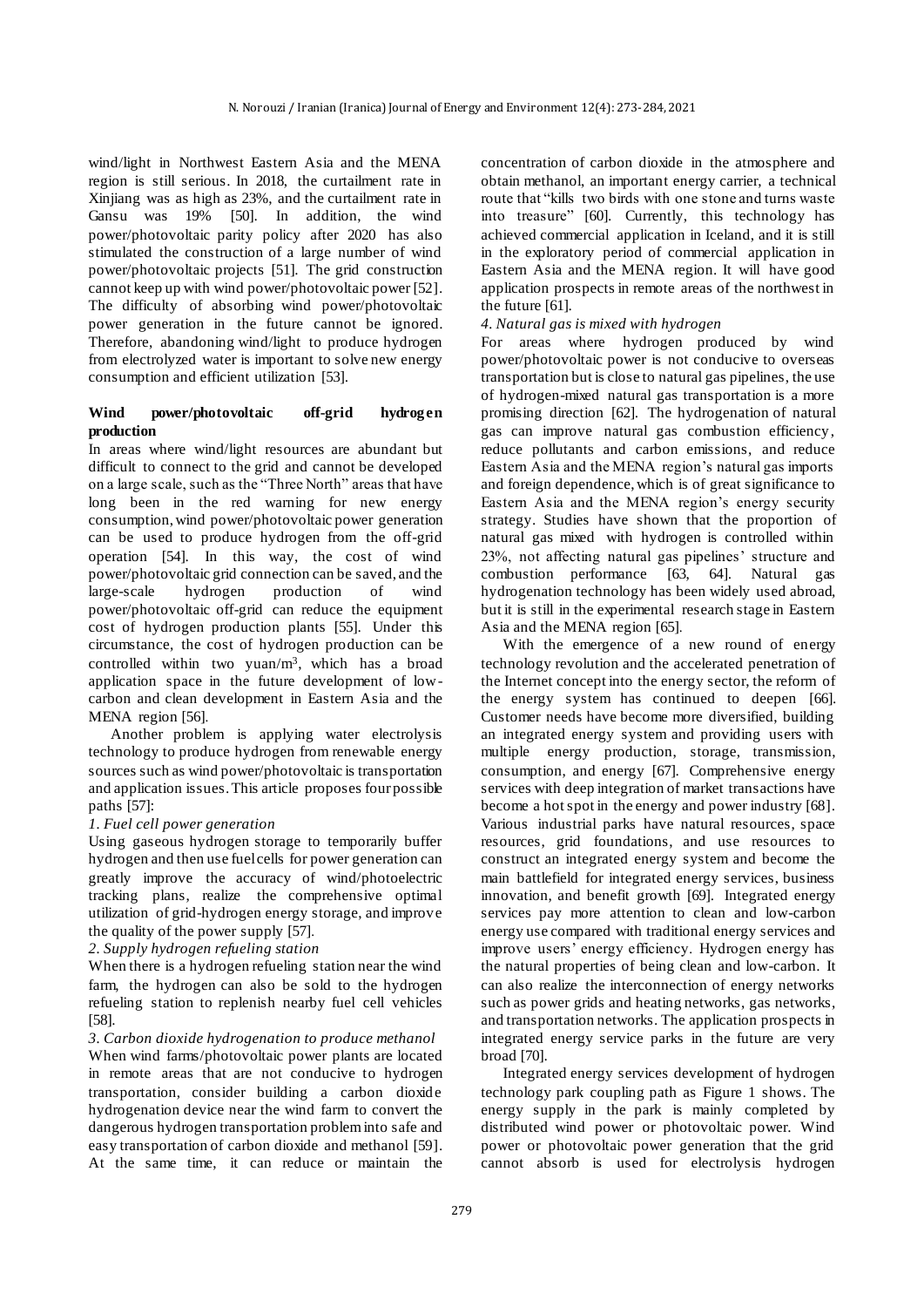wind/light in Northwest Eastern Asia and the MENA region is still serious. In 2018, the curtailment rate in Xinjiang was as high as 23%, and the curtailment rate in Gansu was 19% [50]. In addition, the wind power/photovoltaic parity policy after 2020 has also stimulated the construction of a large number of wind power/photovoltaic projects [51]. The grid construction cannot keep up with wind power/photovoltaic power [52]. The difficulty of absorbing wind power/photovoltaic power generation in the future cannot be ignored. Therefore, abandoning wind/light to produce hydrogen from electrolyzed water is important to solve new energy consumption and efficient utilization [53].

## **Wind power/photovoltaic off-grid hydrogen production**

In areas where wind/light resources are abundant but difficult to connect to the grid and cannot be developed on a large scale, such as the "Three North" areas that have long been in the red warning for new energy consumption, wind power/photovoltaic power generation can be used to produce hydrogen from the off-grid operation [54]. In this way, the cost of wind power/photovoltaic grid connection can be saved, and the large-scale hydrogen production of wind power/photovoltaic off-grid can reduce the equipment cost of hydrogen production plants [55]. Under this circumstance, the cost of hydrogen production can be controlled within two yuan/ $m<sup>3</sup>$ , which has a broad application space in the future development of lowcarbon and clean development in Eastern Asia and the MENA region [56].

Another problem is applying water electrolysis technology to produce hydrogen from renewable energy sources such as wind power/photovoltaic is transportation and application issues. This article proposes four possible paths [57]:

#### *1. Fuel cell power generation*

Using gaseous hydrogen storage to temporarily buffer hydrogen and then use fuel cells for power generation can greatly improve the accuracy of wind/photoelectric tracking plans, realize the comprehensive optimal utilization of grid-hydrogen energy storage, and improve the quality of the power supply [57].

#### *2. Supply hydrogen refueling station*

When there is a hydrogen refueling station near the wind farm, the hydrogen can also be sold to the hydrogen refueling station to replenish nearby fuel cell vehicles [58].

*3. Carbon dioxide hydrogenation to produce methanol* When wind farms/photovoltaic power plants are located in remote areas that are not conducive to hydrogen transportation, consider building a carbon dioxide hydrogenation device near the wind farm to convert the dangerous hydrogen transportation problem into safe and easy transportation of carbon dioxide and methanol [59]. At the same time, it can reduce or maintain the

concentration of carbon dioxide in the atmosphere and obtain methanol, an important energy carrier, a technical route that "kills two birds with one stone and turns waste into treasure" [60]. Currently, this technology has achieved commercial application in Iceland, and it is still in the exploratory period of commercial application in Eastern Asia and the MENA region. It will have good application prospects in remote areas of the northwest in the future [61].

#### *4. Natural gas is mixed with hydrogen*

For areas where hydrogen produced by wind power/photovoltaic power is not conducive to overseas transportation but is close to natural gas pipelines, the use of hydrogen-mixed natural gas transportation is a more promising direction [62]. The hydrogenation of natural gas can improve natural gas combustion efficiency, reduce pollutants and carbon emissions, and reduce Eastern Asia and the MENA region's natural gas imports and foreign dependence, which is of great significance to Eastern Asia and the MENA region's energy security strategy. Studies have shown that the proportion of natural gas mixed with hydrogen is controlled within 23%, not affecting natural gas pipelines' structure and combustion performance [63, 64]. Natural gas hydrogenation technology has been widely used abroad, but it is still in the experimental research stage in Eastern Asia and the MENA region [65].

With the emergence of a new round of energy technology revolution and the accelerated penetration of the Internet concept into the energy sector, the reform of the energy system has continued to deepen [66]. Customer needs have become more diversified, building an integrated energy system and providing users with multiple energy production, storage, transmission, consumption, and energy [67]. Comprehensive energy services with deep integration of market transactions have become a hot spot in the energy and power industry [68]. Various industrial parks have natural resources, space resources, grid foundations, and use resources to construct an integrated energy system and become the main battlefield for integrated energy services, business innovation, and benefit growth [69]. Integrated energy services pay more attention to clean and low-carbon energy use compared with traditional energy services and improve users' energy efficiency. Hydrogen energy has the natural properties of being clean and low-carbon. It can also realize the interconnection of energy networks such as power grids and heating networks, gas networks, and transportation networks. The application prospects in integrated energy service parks in the future are very broad [70].

Integrated energy services development of hydrogen technology park coupling path as Figure 1 shows. The energy supply in the park is mainly completed by distributed wind power or photovoltaic power. Wind power or photovoltaic power generation that the grid cannot absorb is used for electrolysis hydrogen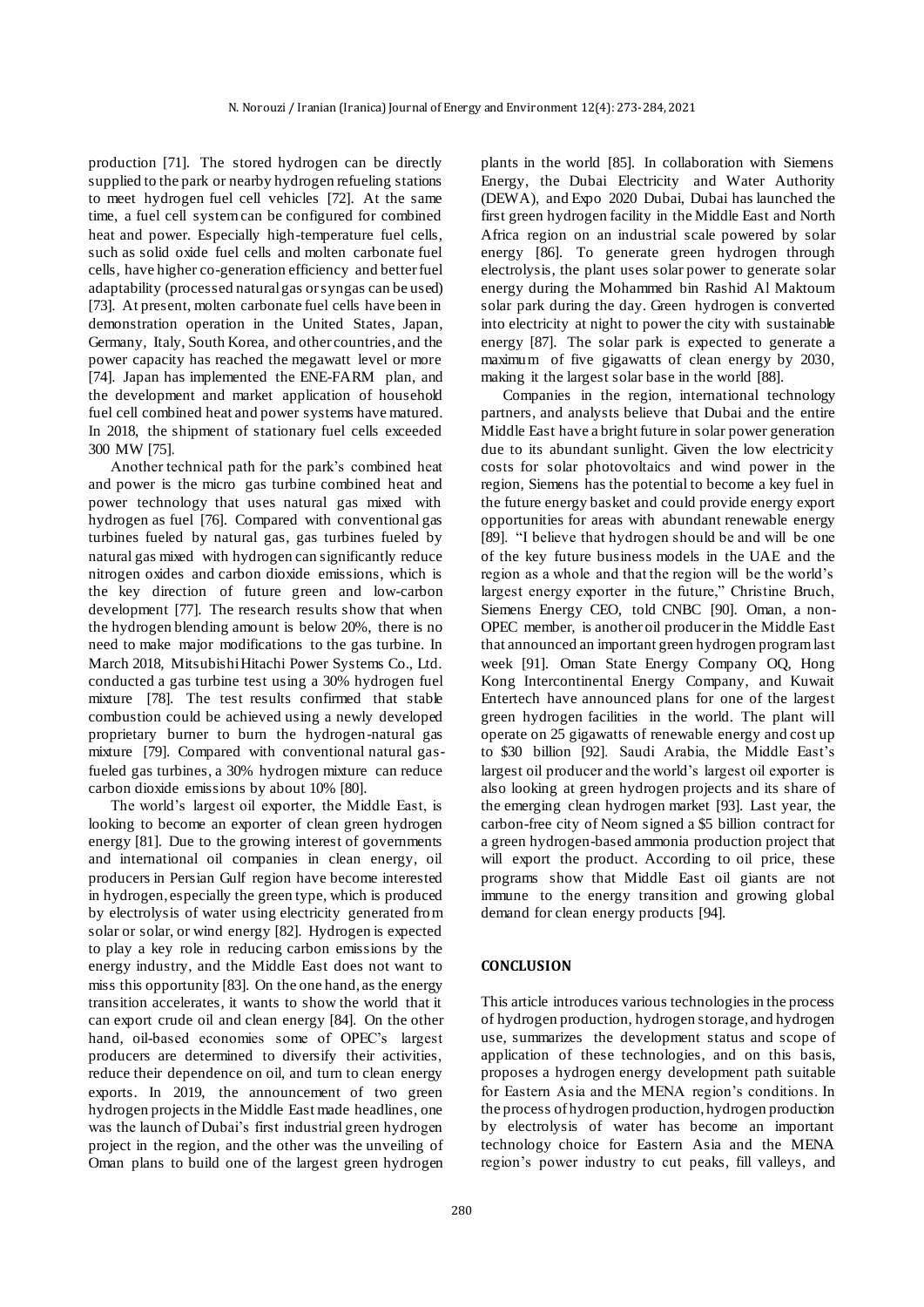production [71]. The stored hydrogen can be directly supplied to the park or nearby hydrogen refueling stations to meet hydrogen fuel cell vehicles [72]. At the same time, a fuel cell system can be configured for combined heat and power. Especially high-temperature fuel cells, such as solid oxide fuel cells and molten carbonate fuel cells, have higher co-generation efficiency and better fuel adaptability (processed natural gas or syngas can be used) [73]. At present, molten carbonate fuel cells have been in demonstration operation in the United States, Japan, Germany, Italy, South Korea, and other countries, and the power capacity has reached the megawatt level or more [74]. Japan has implemented the ENE-FARM plan, and the development and market application of household fuel cell combined heat and power systems have matured. In 2018, the shipment of stationary fuel cells exceeded 300 MW [75].

Another technical path for the park's combined heat and power is the micro gas turbine combined heat and power technology that uses natural gas mixed with hydrogen as fuel [76]. Compared with conventional gas turbines fueled by natural gas, gas turbines fueled by natural gas mixed with hydrogen can significantly reduce nitrogen oxides and carbon dioxide emissions, which is the key direction of future green and low-carbon development [77]. The research results show that when the hydrogen blending amount is below 20%, there is no need to make major modifications to the gas turbine. In March 2018, Mitsubishi Hitachi Power Systems Co., Ltd. conducted a gas turbine test using a 30% hydrogen fuel mixture [78]. The test results confirmed that stable combustion could be achieved using a newly developed proprietary burner to burn the hydrogen-natural gas mixture [79]. Compared with conventional natural gasfueled gas turbines, a 30% hydrogen mixture can reduce carbon dioxide emissions by about 10% [80].

The world's largest oil exporter, the Middle East, is looking to become an exporter of clean green hydrogen energy [81]. Due to the growing interest of governments and international oil companies in clean energy, oil producers in Persian Gulf region have become interested in hydrogen, especially the green type, which is produced by electrolysis of water using electricity generated from solar or solar, or wind energy [82]. Hydrogen is expected to play a key role in reducing carbon emissions by the energy industry, and the Middle East does not want to miss this opportunity [83]. On the one hand, as the energy transition accelerates, it wants to show the world that it can export crude oil and clean energy [84]. On the other hand, oil-based economies some of OPEC's largest producers are determined to diversify their activities, reduce their dependence on oil, and turn to clean energy exports. In 2019, the announcement of two green hydrogen projects in the Middle East made headlines, one was the launch of Dubai's first industrial green hydrogen project in the region, and the other was the unveiling of Oman plans to build one of the largest green hydrogen

plants in the world [85]. In collaboration with Siemens Energy, the Dubai Electricity and Water Authority (DEWA), and Expo 2020 Dubai, Dubai has launched the first green hydrogen facility in the Middle East and North Africa region on an industrial scale powered by solar energy [86]. To generate green hydrogen through electrolysis, the plant uses solar power to generate solar energy during the Mohammed bin Rashid Al Maktoum solar park during the day. Green hydrogen is converted into electricity at night to power the city with sustainable energy [87]. The solar park is expected to generate a maximum of five gigawatts of clean energy by 2030, making it the largest solar base in the world [88].

Companies in the region, international technology partners, and analysts believe that Dubai and the entire Middle East have a bright future in solar power generation due to its abundant sunlight. Given the low electricity costs for solar photovoltaics and wind power in the region, Siemens has the potential to become a key fuel in the future energy basket and could provide energy export opportunities for areas with abundant renewable energy [89]. "I believe that hydrogen should be and will be one of the key future business models in the UAE and the region as a whole and that the region will be the world's largest energy exporter in the future," Christine Bruch, Siemens Energy CEO, told CNBC [90]. Oman, a non-OPEC member, is another oil producer in the Middle East that announced an important green hydrogen program last week [91]. Oman State Energy Company OQ, Hong Kong Intercontinental Energy Company, and Kuwait Entertech have announced plans for one of the largest green hydrogen facilities in the world. The plant will operate on 25 gigawatts of renewable energy and cost up to \$30 billion [92]. Saudi Arabia, the Middle East's largest oil producer and the world's largest oil exporter is also looking at green hydrogen projects and its share of the emerging clean hydrogen market [93]. Last year, the carbon-free city of Neom signed a \$5 billion contract for a green hydrogen-based ammonia production project that will export the product. According to oil price, these programs show that Middle East oil giants are not immune to the energy transition and growing global demand for clean energy products [94].

#### **CONCLUSION**

This article introduces various technologies in the process of hydrogen production, hydrogen storage, and hydrogen use, summarizes the development status and scope of application of these technologies, and on this basis, proposes a hydrogen energy development path suitable for Eastern Asia and the MENA region's conditions. In the process of hydrogen production, hydrogen production by electrolysis of water has become an important technology choice for Eastern Asia and the MENA region's power industry to cut peaks, fill valleys, and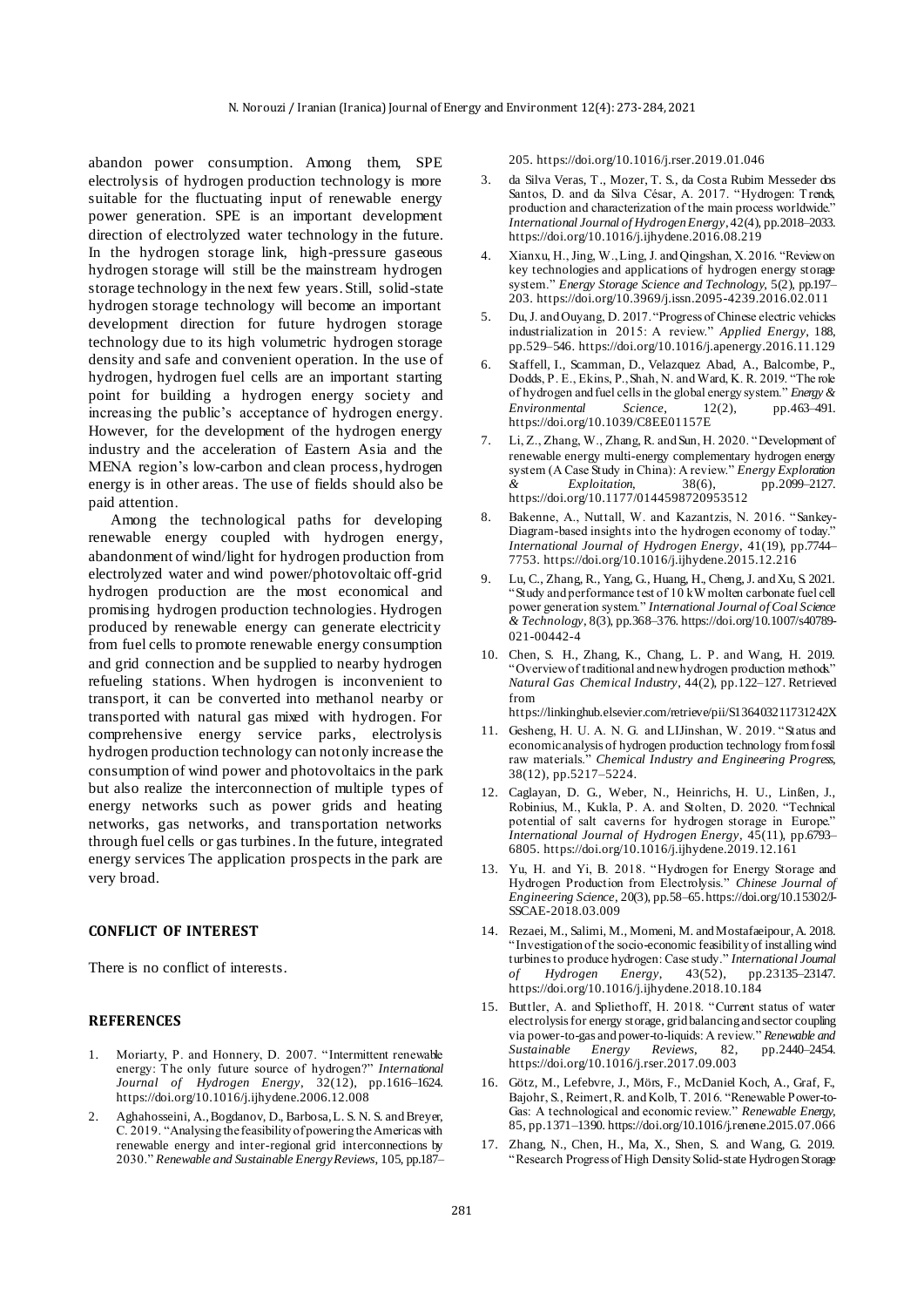abandon power consumption. Among them, SPE electrolysis of hydrogen production technology is more suitable for the fluctuating input of renewable energy power generation. SPE is an important development direction of electrolyzed water technology in the future. In the hydrogen storage link, high-pressure gaseous hydrogen storage will still be the mainstream hydrogen storage technology in the next few years. Still, solid-state hydrogen storage technology will become an important development direction for future hydrogen storage technology due to its high volumetric hydrogen storage density and safe and convenient operation. In the use of hydrogen, hydrogen fuel cells are an important starting point for building a hydrogen energy society and increasing the public's acceptance of hydrogen energy. However, for the development of the hydrogen energy industry and the acceleration of Eastern Asia and the MENA region's low-carbon and clean process, hydrogen energy is in other areas. The use of fields should also be paid attention.

Among the technological paths for developing renewable energy coupled with hydrogen energy, abandonment of wind/light for hydrogen production from electrolyzed water and wind power/photovoltaic off-grid hydrogen production are the most economical and promising hydrogen production technologies. Hydrogen produced by renewable energy can generate electricity from fuel cells to promote renewable energy consumption and grid connection and be supplied to nearby hydrogen refueling stations. When hydrogen is inconvenient to transport, it can be converted into methanol nearby or transported with natural gas mixed with hydrogen. For comprehensive energy service parks, electrolysis hydrogen production technology can not only increase the consumption of wind power and photovoltaics in the park but also realize the interconnection of multiple types of energy networks such as power grids and heating networks, gas networks, and transportation networks through fuel cells or gas turbines. In the future, integrated energy services The application prospects in the park are very broad.

#### **CONFLICT OF INTEREST**

There is no conflict of interests.

#### **REFERENCES**

- 1. Moriarty, P. and Honnery, D. 2007. "Intermittent renewable energy: The only future source of hydrogen?" *International Journal of Hydrogen Energy*, 32(12), pp.1616–1624. https://doi.org/10.1016/j.ijhydene.2006.12.008
- 2. Aghahosseini, A., Bogdanov, D., Barbosa, L. S. N. S. and Breyer, C. 2019. "Analysing the feasibility of powering the Americas with renewable energy and inter-regional grid interconnections by 2030." *Renewable and Sustainable Energy Reviews*, 105, pp.187–

205. https://doi.org/10.1016/j.rser.2019.01.046

- 3. da Silva Veras, T., Mozer, T. S., da Costa Rubim Messeder dos Santos, D. and da Silva César, A. 2017. "Hydrogen: Trends, production and characterization of the main process worldwide." *International Journal of Hydrogen Energy*, 42(4), pp.2018–2033. https://doi.org/10.1016/j.ijhydene.2016.08.219
- 4. Xianxu, H., Jing, W., Ling, J. and Qingshan, X. 2016. "Review on key technologies and applications of hydrogen energy storage system." *Energy Storage Science and Technology*, 5(2), pp.197– 203. https://doi.org/10.3969/j.issn.2095-4239.2016.02.011
- 5. Du, J. and Ouyang, D. 2017. "Progress of Chinese electric vehicles industrialization in 2015: A review." *Applied Energy*, 188, pp.529–546. https://doi.org/10.1016/j.apenergy.2016.11.129
- 6. Staffell, I., Scamman, D., Velazquez Abad, A., Balcombe, P., Dodds, P. E., Ekins, P., Shah, N. and Ward, K. R. 2019. "The role of hydrogen and fuel cells in the global energy system." *Energy & Environmental Science*, 12(2), pp.463–491. https://doi.org/10.1039/C8EE01157E
- 7. Li, Z., Zhang, W., Zhang, R. and Sun, H. 2020. "Development of renewable energy multi-energy complementary hydrogen energy system (A Case Study in China): A review." *Energy Exploration & Exploitation*, 38(6), pp.2099–2127. https://doi.org/10.1177/0144598720953512
- Bakenne, A., Nuttall, W. and Kazantzis, N. 2016. "Sankey-Diagram-based insights into the hydrogen economy of today." *International Journal of Hydrogen Energy*, 41(19), pp.7744– 7753. https://doi.org/10.1016/j.ijhydene.2015.12.216
- 9. Lu, C., Zhang, R., Yang, G., Huang, H., Cheng, J. and Xu, S. 2021. "Study and performance test of 10 kW molten carbonate fuel cell power generation system." *International Journal of Coal Science & Technology*, 8(3), pp.368–376. https://doi.org/10.1007/s40789- 021-00442-4
- 10. Chen, S. H., Zhang, K., Chang, L. P. and Wang, H. 2019. "Overview of traditional and new hydrogen production methods." *Natural Gas Chemical Industry*, 44(2), pp.122–127. Retrieved from

https://linkinghub.elsevier.com/retrieve/pii/S136403211731242X

- 11. Gesheng, H. U. A. N. G. and LIJinshan, W. 2019. "Status and economic analysis of hydrogen production technology from fossil raw materials." *Chemical Industry and Engineering Progress*, 38(12), pp.5217–5224.
- 12. Caglayan, D. G., Weber, N., Heinrichs, H. U., Linßen, J., Robinius, M., Kukla, P. A. and Stolten, D. 2020. "Technical potential of salt caverns for hydrogen storage in Europe." *International Journal of Hydrogen Energy*, 45(11), pp.6793– 6805. https://doi.org/10.1016/j.ijhydene.2019.12.161
- 13. Yu, H. and Yi, B. 2018. "Hydrogen for Energy Storage and Hydrogen Production from Electrolysis." *Chinese Journal of Engineering Science*, 20(3), pp.58–65. https://doi.org/10.15302/J-SSCAE-2018.03.009
- 14. Rezaei, M., Salimi, M., Momeni, M. and Mostafaeipour, A. 2018. "Investigation of the socio-economic feasibility of installing wind turbines to produce hydrogen: Case study." *International Journal of Hydrogen Energy*, 43(52), pp.23135–23147. https://doi.org/10.1016/j.ijhydene.2018.10.184
- 15. Buttler, A. and Spliethoff, H. 2018. "Current status of water electrolysis for energy storage, grid balancing and sector coupling via power-to-gas and power-to-liquids: A review." *Renewable and Sustainable Energy Reviews*, 82, pp.2440–2454. https://doi.org/10.1016/j.rser.2017.09.003
- 16. Götz, M., Lefebvre, J., Mörs, F., McDaniel Koch, A., Graf, F., Bajohr, S., Reimert, R. and Kolb, T. 2016. "Renewable Power-to-Gas: A technological and economic review." *Renewable Energy*, 85, pp.1371–1390. https://doi.org/10.1016/j.renene.2015.07.066
- 17. Zhang, N., Chen, H., Ma, X., Shen, S. and Wang, G. 2019. "Research Progress of High Density Solid-state Hydrogen Storage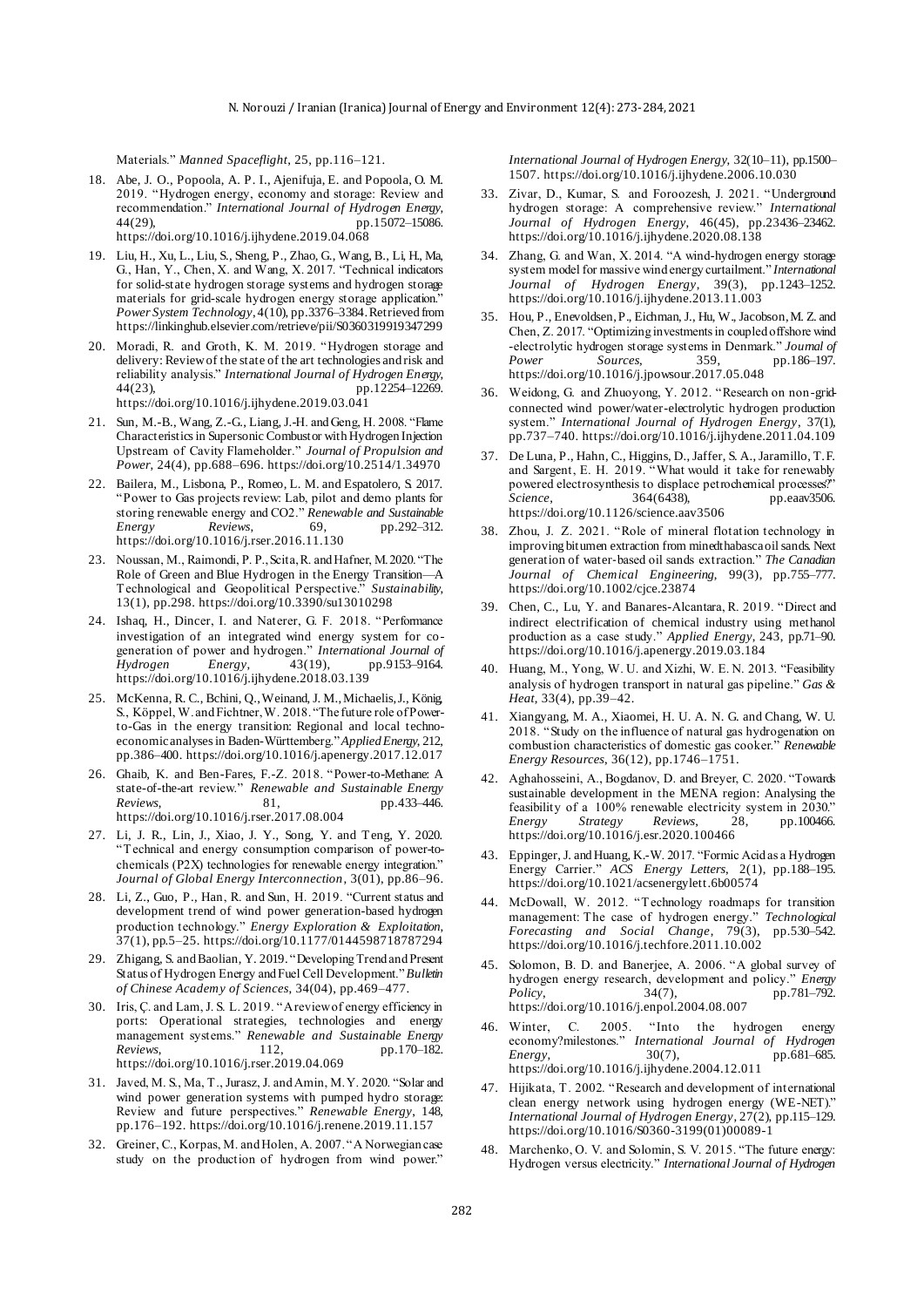Materials." *Manned Spaceflight*, 25, pp.116–121.

- 18. Abe, J. O., Popoola, A. P. I., Ajenifuja, E. and Popoola, O. M. 2019. "Hydrogen energy, economy and storage: Review and recommendation." *International Journal of Hydrogen Energy*, pp.15072-15086. https://doi.org/10.1016/j.ijhydene.2019.04.068
- 19. Liu, H., Xu, L., Liu, S., Sheng, P., Zhao, G., Wang, B., Li, H., Ma, G., Han, Y., Chen, X. and Wang, X. 2017. "Technical indicators for solid-state hydrogen storage systems and hydrogen storage materials for grid-scale hydrogen energy storage application." *Power System Technology*, 4(10), pp.3376–3384. Retrieved from https://linkinghub.elsevier.com/retrieve/pii/S0360319919347299
- 20. Moradi, R. and Groth, K. M. 2019. "Hydrogen storage and delivery: Review of the state of the art technologies and risk and reliability analysis." *International Journal of Hydrogen Energy*,  $pp.12254-12269.$ https://doi.org/10.1016/j.ijhydene.2019.03.041
- 21. Sun, M.-B., Wang, Z.-G., Liang, J.-H. and Geng, H. 2008. "Flame Characteristics in Supersonic Combustor with Hydrogen Injection Upstream of Cavity Flameholder." *Journal of Propulsion and Power*, 24(4), pp.688–696. https://doi.org/10.2514/1.34970
- 22. Bailera, M., Lisbona, P., Romeo, L. M. and Espatolero, S. 2017. "Power to Gas projects review: Lab, pilot and demo plants for storing renewable energy and CO2." *Renewable and Sustainable Energy Reviews*, 69, pp.292–312. https://doi.org/10.1016/j.rser.2016.11.130
- 23. Noussan, M., Raimondi, P. P., Scita, R. and Hafner, M. 2020. "The Role of Green and Blue Hydrogen in the Energy Transition—A<br>Technological and Geopolitical Perspective." Sustainability, Technological and Geopolitical Perspective." 13(1), pp.298. https://doi.org/10.3390/su13010298
- 24. Ishaq, H., Dincer, I. and Naterer, G. F. 2018. "Performance investigation of an integrated wind energy system for cogeneration of power and hydrogen." *International Journal of Hydrogen Energy*, 43(19), pp.9153–9164. https://doi.org/10.1016/j.ijhydene.2018.03.139
- 25. McKenna, R. C., Bchini, Q., Weinand, J. M., Michaelis, J., König, S., Köppel, W. and Fichtner, W. 2018. "The future role of Powerto-Gas in the energy transition: Regional and local technoeconomic analyses in Baden-Württemberg." *Applied Energy*, 212, pp.386–400. https://doi.org/10.1016/j.apenergy.2017.12.017
- 26. Ghaib, K. and Ben-Fares, F.-Z. 2018. "Power-to-Methane: A state-of-the-art review." *Renewable and Sustainable Energy Reviews*, 81, pp.433–446. https://doi.org/10.1016/j.rser.2017.08.004
- 27. Li, J. R., Lin, J., Xiao, J. Y., Song, Y. and Teng, Y. 2020. "Technical and energy consumption comparison of power-tochemicals (P2X) technologies for renewable energy integration." *Journal of Global Energy Interconnection*, 3(01), pp.86–96.
- 28. Li, Z., Guo, P., Han, R. and Sun, H. 2019. "Current status and development trend of wind power generation-based hydrogen production technology." *Energy Exploration & Exploitation*, 37(1), pp.5–25. https://doi.org/10.1177/0144598718787294
- 29. Zhigang, S. and Baolian, Y. 2019. "Developing Trend and Present Status of Hydrogen Energy and Fuel Cell Development." *Bulletin of Chinese Academy of Sciences*, 34(04), pp.469–477.
- 30. Iris, Ç. and Lam, J. S. L. 2019. "A review of energy efficiency in ports: Operational strategies, technologies and energy management systems." *Renewable and Sustainable Energy Reviews*, 112, pp.170–182. https://doi.org/10.1016/j.rser.2019.04.069
- 31. Javed, M. S., Ma, T., Jurasz, J. and Amin, M. Y. 2020. "Solar and wind power generation systems with pumped hydro storage: Review and future perspectives." *Renewable Energy*, 148, pp.176–192. https://doi.org/10.1016/j.renene.2019.11.157
- 32. Greiner, C., Korpas, M. and Holen, A. 2007. "A Norwegian case study on the production of hydrogen from wind power."

*International Journal of Hydrogen Energy*, 32(10–11), pp.1500– 1507. https://doi.org/10.1016/j.ijhydene.2006.10.030

- 33. Zivar, D., Kumar, S. and Foroozesh, J. 2021. "Underground hydrogen storage: A comprehensive review." *International Journal of Hydrogen Energy*, 46(45), pp.23436–23462. https://doi.org/10.1016/j.ijhydene.2020.08.138
- 34. Zhang, G. and Wan, X. 2014. "A wind-hydrogen energy storage system model for massive wind energy curtailment." *International Journal of Hydrogen Energy*, 39(3), pp.1243–1252. https://doi.org/10.1016/j.ijhydene.2013.11.003
- 35. Hou, P., Enevoldsen, P., Eichman, J., Hu, W., Jacobson, M. Z. and Chen, Z. 2017. "Optimizing investments in coupled offshore wind -electrolytic hydrogen storage systems in Denmark." *Journal of Power Sources*, 359, pp.186–197. https://doi.org/10.1016/j.jpowsour.2017.05.048
- 36. Weidong, G. and Zhuoyong, Y. 2012. "Research on non-gridconnected wind power/water-electrolytic hydrogen production system." *International Journal of Hydrogen Energy*, 37(1), pp.737–740. https://doi.org/10.1016/j.ijhydene.2011.04.109
- 37. De Luna, P., Hahn, C., Higgins, D., Jaffer, S. A., Jaramillo, T. F. and Sargent, E. H. 2019. "What would it take for renewably powered electrosynthesis to displace petrochemical processes?"<br>Science. 364(6438), pp.eaav3506. pp.eaav3506. https://doi.org/10.1126/science.aav3506
- 38. Zhou, J. Z. 2021. "Role of mineral flotation technology in improving bitumen extraction from minedthabasca oil sands. Next generation of water‐based oil sands extraction." *The Canadian Journal of Chemical Engineering*, 99(3), pp.755–777. https://doi.org/10.1002/cjce.23874
- 39. Chen, C., Lu, Y. and Banares-Alcantara, R. 2019. "Direct and indirect electrification of chemical industry using methanol production as a case study." *Applied Energy*, 243, pp.71–90. https://doi.org/10.1016/j.apenergy.2019.03.184
- 40. Huang, M., Yong, W. U. and Xizhi, W. E. N. 2013. "Feasibility analysis of hydrogen transport in natural gas pipeline." *Gas & Heat*, 33(4), pp.39–42.
- 41. Xiangyang, M. A., Xiaomei, H. U. A. N. G. and Chang, W. U. 2018. "Study on the influence of natural gas hydrogenation on combustion characteristics of domestic gas cooker." *Renewable Energy Resources*, 36(12), pp.1746–1751.
- 42. Aghahosseini, A., Bogdanov, D. and Breyer, C. 2020. "Towards sustainable development in the MENA region: Analysing the feasibility of a 100% renewable electricity system in 2030."<br> *Energy* Strategy Reviews, 28, pp.100466. *Energy Strategy Reviews*, 28, pp.100466. https://doi.org/10.1016/j.esr.2020.100466
- 43. Eppinger, J. and Huang, K.-W. 2017. "Formic Acid as a Hydrogen Energy Carrier." *ACS Energy Letters*, 2(1), pp.188–195. https://doi.org/10.1021/acsenergylett.6b00574
- 44. McDowall, W. 2012. "Technology roadmaps for transition management: The case of hydrogen energy." *Technological Forecasting and Social Change*, 79(3), https://doi.org/10.1016/j.techfore.2011.10.002
- 45. Solomon, B. D. and Banerjee, A. 2006. "A global survey of hydrogen energy research, development and policy." *Energy Policy*,  $34(7)$ , pp.781-792. *Policy*, 34(7), pp.781–792. https://doi.org/10.1016/j.enpol.2004.08.007
- 46. Winter, C. 2005. "Into the hydrogen energy economy?milestones." *International Journal of Hydrogen Energy*, 30(7), pp.681–685. https://doi.org/10.1016/j.ijhydene.2004.12.011
- 47. Hijikata, T. 2002. "Research and development of international clean energy network using hydrogen energy (WE-NET)." *International Journal of Hydrogen Energy*, 27(2), pp.115–129. https://doi.org/10.1016/S0360-3199(01)00089-1
- 48. Marchenko, O. V. and Solomin, S. V. 2015. "The future energy: Hydrogen versus electricity." *International Journal of Hydrogen*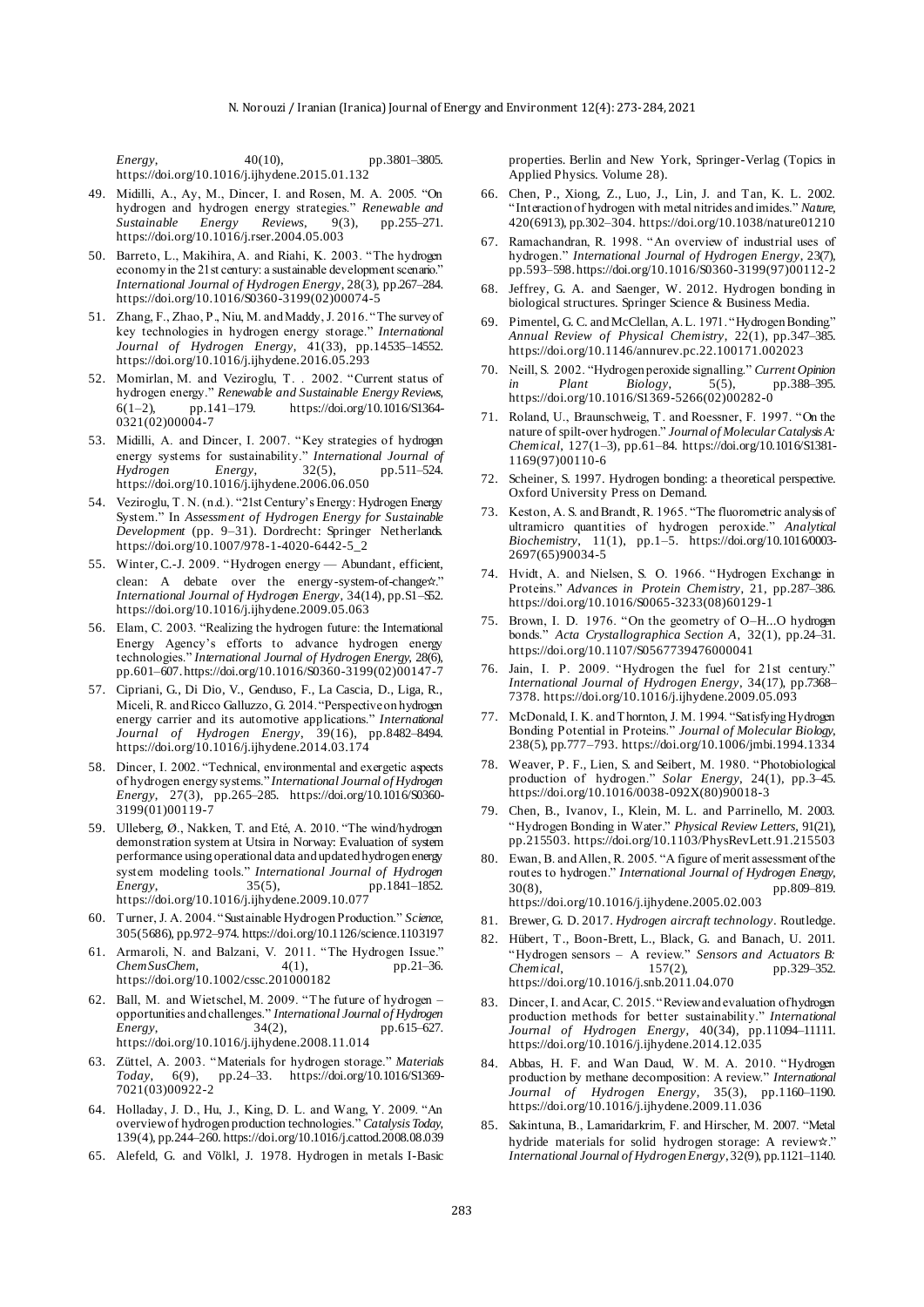*Energy*, 40(10), pp.3801–3805. https://doi.org/10.1016/j.ijhydene.2015.01.132

- 49. Midilli, A., Ay, M., Dincer, I. and Rosen, M. A. 2005. "On hydrogen and hydrogen energy strategies." *Renewable and*<br>Sustainable Energy Reviews, 9(3), pp.255-271. *Sustainable Energy Reviews*, 9(3), pp.255–271. https://doi.org/10.1016/j.rser.2004.05.003
- 50. Barreto, L., Makihira, A. and Riahi, K. 2003. "The hydrogen economy in the 21st century: a sustainable development scenario." *International Journal of Hydrogen Energy*, 28(3), pp.267–284. https://doi.org/10.1016/S0360-3199(02)00074-5
- 51. Zhang, F., Zhao, P., Niu, M. and Maddy, J. 2016. "The survey of key technologies in hydrogen energy storage." *International Journal of Hydrogen Energy*, 41(33), pp.14535–14552. https://doi.org/10.1016/j.ijhydene.2016.05.293
- 52. Momirlan, M. and Veziroglu, T. . 2002. "Current status of hydrogen energy." *Renewable and Sustainable Energy Reviews*, 6(1–2), pp.141–179. https://doi.org/10.1016/S1364-  $0321(02)00004-7$
- 53. Midilli, A. and Dincer, I. 2007. "Key strategies of hydrogen energy systems for sustainability." *International Journal of Hydrogen* Energy, 32(5), pp.511-524. pp.511–524. https://doi.org/10.1016/j.ijhydene.2006.06.050
- 54. Veziroglu, T. N. (n.d.). "21st Century's Energy: Hydrogen Energy System." In *Assessment of Hydrogen Energy for Sustainable Development* (pp. 9–31). Dordrecht: Springer Netherlands. https://doi.org/10.1007/978-1-4020-6442-5\_2
- 55. Winter, C.-J. 2009. "Hydrogen energy Abundant, efficient, clean: A debate over the energy-system-of-change☆." *International Journal of Hydrogen Energy*, 34(14), pp.S1–S52. https://doi.org/10.1016/j.ijhydene.2009.05.063
- 56. Elam, C. 2003. "Realizing the hydrogen future: the International Energy Agency's efforts to advance hydrogen energy technologies." *International Journal of Hydrogen Energy*, 28(6), pp.601–607. https://doi.org/10.1016/S0360-3199(02)00147-7
- 57. Cipriani, G., Di Dio, V., Genduso, F., La Cascia, D., Liga, R., Miceli, R. and Ricco Galluzzo, G. 2014. "Perspective on hydrogen energy carrier and its automotive applications." *International Journal of Hydrogen Energy*, 39(16), pp.8482–8494. https://doi.org/10.1016/j.ijhydene.2014.03.174
- 58. Dincer, I. 2002. "Technical, environmental and exergetic aspects of hydrogen energy systems." *International Journal of Hydrogen Energy*, 27(3), pp.265–285. https://doi.org/10.1016/S0360- 3199(01)00119-7
- 59. Ulleberg, Ø., Nakken, T. and Eté, A. 2010. "The wind/hydrogen demonstration system at Utsira in Norway: Evaluation of system performance using operational data and updated hydrogen energy system modeling tools." *International Journal of Hydrogen Energy*, 35(5), pp.1841–1852. https://doi.org/10.1016/j.ijhydene.2009.10.077
- 60. Turner, J. A. 2004. "Sustainable Hydrogen Production." *Science*, 305(5686), pp.972–974. https://doi.org/10.1126/science.1103197
- 61. Armaroli, N. and Balzani, V. 2011. "The Hydrogen Issue." *ChemSusChem*, 4(1), pp.21–36. https://doi.org/10.1002/cssc.201000182
- 62. Ball, M. and Wietschel, M. 2009. "The future of hydrogen opportunities and challenges." *International Journal of Hydrogen Energy*, 34(2), pp.615–627. https://doi.org/10.1016/j.ijhydene.2008.11.014
- 63. Züttel, A. 2003. "Materials for hydrogen storage." *Materials Today*, 6(9), pp.24–33. https://doi.org/10.1016/S1369- 7021(03)00922-2
- 64. Holladay, J. D., Hu, J., King, D. L. and Wang, Y. 2009. "An overview of hydrogen production technologies." *Catalysis Today*, 139(4), pp.244–260. https://doi.org/10.1016/j.cattod.2008.08.039
- 65. Alefeld, G. and Völkl, J. 1978. Hydrogen in metals I-Basic

properties. Berlin and New York, Springer-Verlag (Topics in Applied Physics. Volume 28).

- 66. Chen, P., Xiong, Z., Luo, J., Lin, J. and Tan, K. L. 2002. "Interaction of hydrogen with metal nitrides and imides." *Nature*, 420(6913), pp.302–304. https://doi.org/10.1038/nature01210
- 67. Ramachandran, R. 1998. "An overview of industrial uses of hydrogen." *International Journal of Hydrogen Energy*, 23(7), pp.593–598. https://doi.org/10.1016/S0360-3199(97)00112-2
- 68. Jeffrey, G. A. and Saenger, W. 2012. Hydrogen bonding in biological structures. Springer Science & Business Media.
- 69. Pimentel, G. C. and McClellan, A. L. 1971. "Hydrogen Bonding." *Annual Review of Physical Chemistry*, 22(1), pp.347–385. https://doi.org/10.1146/annurev.pc.22.100171.002023
- 70. Neill, S. 2002. "Hydrogen peroxide signalling." *Current Opinion in Plant Biology*, 5(5), pp.388–395. https://doi.org/10.1016/S1369-5266(02)00282-0
- 71. Roland, U., Braunschweig, T. and Roessner, F. 1997. "On the nature of spilt-over hydrogen." *Journal of Molecular Catalysis A: Chemical*, 127(1–3), pp.61–84. https://doi.org/10.1016/S1381- 1169(97)00110-6
- 72. Scheiner, S. 1997. Hydrogen bonding: a theoretical perspective. Oxford University Press on Demand.
- 73. Keston, A. S. and Brandt, R. 1965. "The fluorometric analysis of ultramicro quantities of hydrogen peroxide." *Analytical Biochemistry*, 11(1), pp.1–5. https://doi.org/10.1016/0003- 2697(65)90034-5
- 74. Hvidt, A. and Nielsen, S. O. 1966. "Hydrogen Exchange in Proteins." *Advances in Protein Chemistry*, 21, pp.287–386. https://doi.org/10.1016/S0065-3233(08)60129-1
- 75. Brown, I. D. 1976. "On the geometry of O–H...O hydrogen bonds." *Acta Crystallographica Section A*, 32(1), pp.24–31. https://doi.org/10.1107/S0567739476000041
- 76. Jain, I. P. 2009. "Hydrogen the fuel for 21st century." *International Journal of Hydrogen Energy*, 34(17), pp.7368– 7378. https://doi.org/10.1016/j.ijhydene.2009.05.093
- 77. McDonald, I. K. and Thornton, J. M. 1994. "Satisfying Hydrogen Bonding Potential in Proteins." *Journal of Molecular Biology*, 238(5), pp.777–793. https://doi.org/10.1006/jmbi.1994.1334
- 78. Weaver, P. F., Lien, S. and Seibert, M. 1980. "Photobiological production of hydrogen." *Solar Energy*, 24(1), pp.3–45. https://doi.org/10.1016/0038-092X(80)90018-3
- 79. Chen, B., Ivanov, I., Klein, M. L. and Parrinello, M. 2003. "Hydrogen Bonding in Water." *Physical Review Letters*, 91(21), pp.215503. https://doi.org/10.1103/PhysRevLett.91.215503
- 80. Ewan, B. and Allen, R. 2005. "A figure of merit assessment of the routes to hydrogen." *International Journal of Hydrogen Energy*, 30(8), pp.809–819. https://doi.org/10.1016/j.ijhydene.2005.02.003
- 81. Brewer, G. D. 2017. *Hydrogen aircraft technology*. Routledge.
- 82. Hübert, T., Boon-Brett, L., Black, G. and Banach, U. 2011. "Hydrogen sensors – A review." *Sensors and Actuators B: Chemical*, 157(2), pp.329–352. https://doi.org/10.1016/j.snb.2011.04.070
- 83. Dincer, I. and Acar, C. 2015. "Review and evaluation of hydrogen production methods for better sustainability." *International Journal of Hydrogen Energy*, 40(34), pp.11094–11111. https://doi.org/10.1016/j.ijhydene.2014.12.035
- 84. Abbas, H. F. and Wan Daud, W. M. A. 2010. "Hydrogen production by methane decomposition: A review." *International Journal of Hydrogen Energy*, 35(3), pp.1160–1190. https://doi.org/10.1016/j.ijhydene.2009.11.036
- 85. Sakintuna, B., Lamaridarkrim, F. and Hirscher, M. 2007. "Metal hydride materials for solid hydrogen storage: A review☆." *International Journal of Hydrogen Energy*, 32(9), pp.1121–1140.